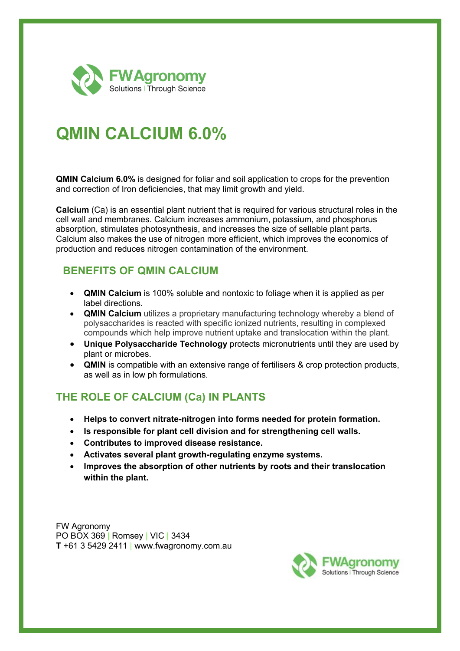

# **QMIN CALCIUM 6.0%**

**QMIN Calcium 6.0%** is designed for foliar and soil application to crops for the prevention and correction of Iron deficiencies, that may limit growth and yield.

**Calcium** (Ca) is an essential plant nutrient that is required for various structural roles in the cell wall and membranes. Calcium increases ammonium, potassium, and phosphorus absorption, stimulates photosynthesis, and increases the size of sellable plant parts. Calcium also makes the use of nitrogen more efficient, which improves the economics of production and reduces nitrogen contamination of the environment.

### **BENEFITS OF QMIN CALCIUM**

- **QMIN Calcium** is 100% soluble and nontoxic to foliage when it is applied as per label directions.
- **QMIN Calcium** utilizes a proprietary manufacturing technology whereby a blend of polysaccharides is reacted with specific ionized nutrients, resulting in complexed compounds which help improve nutrient uptake and translocation within the plant.
- **Unique Polysaccharide Technology** protects micronutrients until they are used by plant or microbes.
- **QMIN** is compatible with an extensive range of fertilisers & crop protection products, as well as in low ph formulations.

## **THE ROLE OF CALCIUM (Ca) IN PLANTS**

- **Helps to convert nitrate-nitrogen into forms needed for protein formation.**
- **Is responsible for plant cell division and for strengthening cell walls.**
- **Contributes to improved disease resistance.**
- **Activates several plant growth-regulating enzyme systems.**
- **Improves the absorption of other nutrients by roots and their translocation within the plant.**

FW Agronomy PO BOX 369 | Romsey | VIC | 3434 **T** +61 3 5429 2411 | www.fwagronomy.com.au